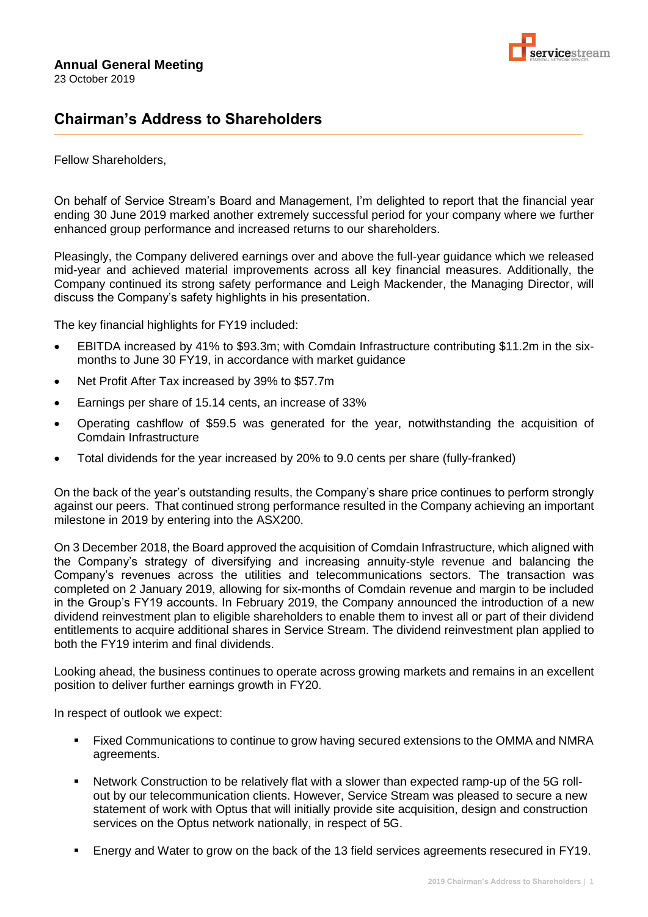

## **Chairman's Address to Shareholders**

## Fellow Shareholders,

On behalf of Service Stream's Board and Management, I'm delighted to report that the financial year ending 30 June 2019 marked another extremely successful period for your company where we further enhanced group performance and increased returns to our shareholders.

Pleasingly, the Company delivered earnings over and above the full-year guidance which we released mid-year and achieved material improvements across all key financial measures. Additionally, the Company continued its strong safety performance and Leigh Mackender, the Managing Director, will discuss the Company's safety highlights in his presentation.

The key financial highlights for FY19 included:

- EBITDA increased by 41% to \$93.3m; with Comdain Infrastructure contributing \$11.2m in the sixmonths to June 30 FY19, in accordance with market guidance
- Net Profit After Tax increased by 39% to \$57.7m
- Earnings per share of 15.14 cents, an increase of 33%
- Operating cashflow of \$59.5 was generated for the year, notwithstanding the acquisition of Comdain Infrastructure
- Total dividends for the year increased by 20% to 9.0 cents per share (fully-franked)

On the back of the year's outstanding results, the Company's share price continues to perform strongly against our peers. That continued strong performance resulted in the Company achieving an important milestone in 2019 by entering into the ASX200.

On 3 December 2018, the Board approved the acquisition of Comdain Infrastructure, which aligned with the Company's strategy of diversifying and increasing annuity-style revenue and balancing the Company's revenues across the utilities and telecommunications sectors. The transaction was completed on 2 January 2019, allowing for six-months of Comdain revenue and margin to be included in the Group's FY19 accounts. In February 2019, the Company announced the introduction of a new dividend reinvestment plan to eligible shareholders to enable them to invest all or part of their dividend entitlements to acquire additional shares in Service Stream. The dividend reinvestment plan applied to both the FY19 interim and final dividends.

Looking ahead, the business continues to operate across growing markets and remains in an excellent position to deliver further earnings growth in FY20.

In respect of outlook we expect:

- **EXECT FIXED COMMUNICATIONS TO CONTINUE TO GET AT A CONTINUE OF STARK IS A STARK AND NUTHANA AND NUTHANA STARK AND NUTHANA AND NUTHANA AND NUTHANA STARK IS SET STARK IS SET STARK IS STARK AND NUTHANA AND NUTHANA STARK IS S** agreements.
- Network Construction to be relatively flat with a slower than expected ramp-up of the 5G rollout by our telecommunication clients. However, Service Stream was pleased to secure a new statement of work with Optus that will initially provide site acquisition, design and construction services on the Optus network nationally, in respect of 5G.
- Energy and Water to grow on the back of the 13 field services agreements resecured in FY19.